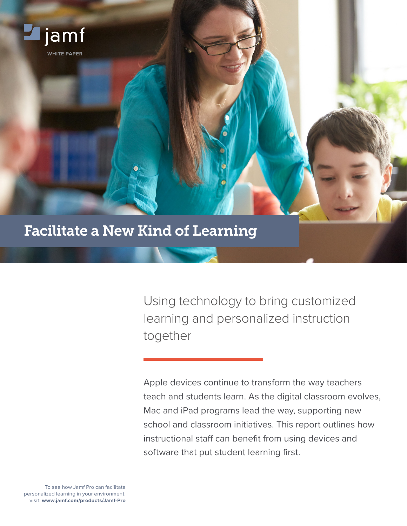

Using technology to bring customized learning and personalized instruction together

Apple devices continue to transform the way teachers teach and students learn. As the digital classroom evolves, Mac and iPad programs lead the way, supporting new school and classroom initiatives. This report outlines how instructional staff can benefit from using devices and software that put student learning first.

To see how Jamf Pro can facilitate personalized learning in your environment, visit: **www.jamf.com/products/Jamf-Pro**

**WHITE PAPER**

jamf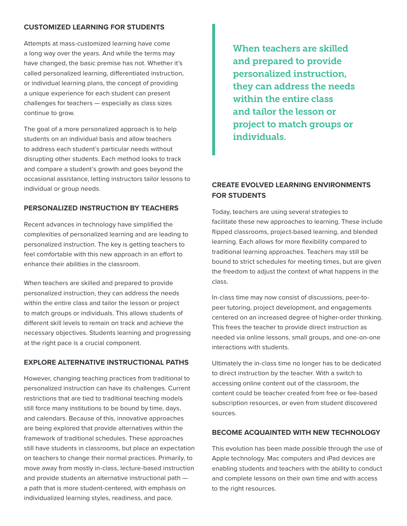#### **CUSTOMIZED LEARNING FOR STUDENTS**

Attempts at mass-customized learning have come a long way over the years. And while the terms may have changed, the basic premise has not. Whether it's called personalized learning, differentiated instruction, or individual learning plans, the concept of providing a unique experience for each student can present challenges for teachers — especially as class sizes continue to grow.

The goal of a more personalized approach is to help students on an individual basis and allow teachers to address each student's particular needs without disrupting other students. Each method looks to track and compare a student's growth and goes beyond the occasional assistance, letting instructors tailor lessons to individual or group needs.

#### **PERSONALIZED INSTRUCTION BY TEACHERS**

Recent advances in technology have simplified the complexities of personalized learning and are leading to personalized instruction. The key is getting teachers to feel comfortable with this new approach in an effort to enhance their abilities in the classroom.

When teachers are skilled and prepared to provide personalized instruction, they can address the needs within the entire class and tailor the lesson or project to match groups or individuals. This allows students of different skill levels to remain on track and achieve the necessary objectives. Students learning and progressing at the right pace is a crucial component.

## **EXPLORE ALTERNATIVE INSTRUCTIONAL PATHS**

However, changing teaching practices from traditional to personalized instruction can have its challenges. Current restrictions that are tied to traditional teaching models still force many institutions to be bound by time, days, and calendars. Because of this, innovative approaches are being explored that provide alternatives within the framework of traditional schedules. These approaches still have students in classrooms, but place an expectation on teachers to change their normal practices. Primarily, to move away from mostly in-class, lecture-based instruction and provide students an alternative instructional path a path that is more student-centered, with emphasis on individualized learning styles, readiness, and pace.

When teachers are skilled and prepared to provide personalized instruction, they can address the needs within the entire class and tailor the lesson or project to match groups or individuals.

# **CREATE EVOLVED LEARNING ENVIRONMENTS FOR STUDENTS**

Today, teachers are using several strategies to facilitate these new approaches to learning. These include flipped classrooms, project-based learning, and blended learning. Each allows for more flexibility compared to traditional learning approaches. Teachers may still be bound to strict schedules for meeting times, but are given the freedom to adjust the context of what happens in the class.

In-class time may now consist of discussions, peer-topeer tutoring, project development, and engagements centered on an increased degree of higher-order thinking. This frees the teacher to provide direct instruction as needed via online lessons, small groups, and one-on-one interactions with students.

Ultimately the in-class time no longer has to be dedicated to direct instruction by the teacher. With a switch to accessing online content out of the classroom, the content could be teacher created from free or fee-based subscription resources, or even from student discovered sources.

## **BECOME ACQUAINTED WITH NEW TECHNOLOGY**

This evolution has been made possible through the use of Apple technology. Mac computers and iPad devices are enabling students and teachers with the ability to conduct and complete lessons on their own time and with access to the right resources.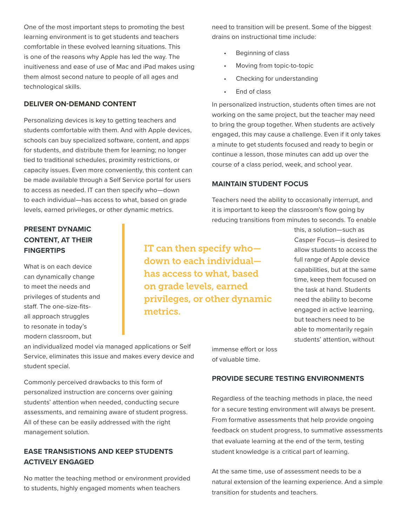One of the most important steps to promoting the best learning environment is to get students and teachers comfortable in these evolved learning situations. This is one of the reasons why Apple has led the way. The inuitiveness and ease of use of Mac and iPad makes using them almost second nature to people of all ages and technological skills.

## **DELIVER ON-DEMAND CONTENT**

Personalizing devices is key to getting teachers and students comfortable with them. And with Apple devices, schools can buy specialized software, content, and apps for students, and distribute them for learning; no longer tied to traditional schedules, proximity restrictions, or capacity issues. Even more conveniently, this content can be made available through a Self Service portal for users to access as needed. IT can then specify who—down to each individual—has access to what, based on grade levels, earned privileges, or other dynamic metrics.

## need to transition will be present. Some of the biggest drains on instructional time include:

- Beginning of class
- Moving from topic-to-topic
- Checking for understanding
- End of class

In personalized instruction, students often times are not working on the same project, but the teacher may need to bring the group together. When students are actively engaged, this may cause a challenge. Even if it only takes a minute to get students focused and ready to begin or continue a lesson, those minutes can add up over the course of a class period, week, and school year.

#### **MAINTAIN STUDENT FOCUS**

Teachers need the ability to occasionally interrupt, and it is important to keep the classroom's flow going by reducing transitions from minutes to seconds. To enable

# **PRESENT DYNAMIC CONTENT, AT THEIR FINGERTIPS**

What is on each device can dynamically change to meet the needs and privileges of students and staff. The one-size-fitsall approach struggles to resonate in today's modern classroom, but

IT can then specify who down to each individual has access to what, based on grade levels, earned privileges, or other dynamic metrics.

this, a solution—such as Casper Focus—is desired to allow students to access the full range of Apple device capabilities, but at the same time, keep them focused on the task at hand. Students need the ability to become engaged in active learning, but teachers need to be able to momentarily regain students' attention, without

an individualized model via managed applications or Self Service, eliminates this issue and makes every device and student special.

Commonly perceived drawbacks to this form of personalized instruction are concerns over gaining students' attention when needed, conducting secure assessments, and remaining aware of student progress. All of these can be easily addressed with the right management solution.

## **EASE TRANSISTIONS AND KEEP STUDENTS ACTIVELY ENGAGED**

No matter the teaching method or environment provided to students, highly engaged moments when teachers

immense effort or loss of valuable time.

#### **PROVIDE SECURE TESTING ENVIRONMENTS**

Regardless of the teaching methods in place, the need for a secure testing environment will always be present. From formative assessments that help provide ongoing feedback on student progress, to summative assessments that evaluate learning at the end of the term, testing student knowledge is a critical part of learning.

At the same time, use of assessment needs to be a natural extension of the learning experience. And a simple transition for students and teachers.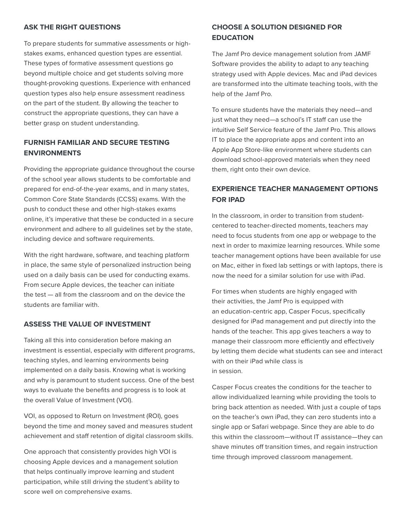#### **ASK THE RIGHT QUESTIONS**

To prepare students for summative assessments or highstakes exams, enhanced question types are essential. These types of formative assessment questions go beyond multiple choice and get students solving more thought-provoking questions. Experience with enhanced question types also help ensure assessment readiness on the part of the student. By allowing the teacher to construct the appropriate questions, they can have a better grasp on student understanding.

## **FURNISH FAMILIAR AND SECURE TESTING ENVIRONMENTS**

Providing the appropriate guidance throughout the course of the school year allows students to be comfortable and prepared for end-of-the-year exams, and in many states, Common Core State Standards (CCSS) exams. With the push to conduct these and other high-stakes exams online, it's imperative that these be conducted in a secure environment and adhere to all guidelines set by the state, including device and software requirements.

With the right hardware, software, and teaching platform in place, the same style of personalized instruction being used on a daily basis can be used for conducting exams. From secure Apple devices, the teacher can initiate the test — all from the classroom and on the device the students are familiar with.

### **ASSESS THE VALUE OF INVESTMENT**

Taking all this into consideration before making an investment is essential, especially with different programs, teaching styles, and learning environments being implemented on a daily basis. Knowing what is working and why is paramount to student success. One of the best ways to evaluate the benefits and progress is to look at the overall Value of Investment (VOI).

VOI, as opposed to Return on Investment (ROI), goes beyond the time and money saved and measures student achievement and staff retention of digital classroom skills.

One approach that consistently provides high VOI is choosing Apple devices and a management solution that helps continually improve learning and student participation, while still driving the student's ability to score well on comprehensive exams.

# **CHOOSE A SOLUTION DESIGNED FOR EDUCATION**

The Jamf Pro device management solution from JAMF Software provides the ability to adapt to any teaching strategy used with Apple devices. Mac and iPad devices are transformed into the ultimate teaching tools, with the help of the Jamf Pro.

To ensure students have the materials they need—and just what they need—a school's IT staff can use the intuitive Self Service feature of the Jamf Pro. This allows IT to place the appropriate apps and content into an Apple App Store-like environment where students can download school-approved materials when they need them, right onto their own device.

# **EXPERIENCE TEACHER MANAGEMENT OPTIONS FOR IPAD**

In the classroom, in order to transition from studentcentered to teacher-directed moments, teachers may need to focus students from one app or webpage to the next in order to maximize learning resources. While some teacher management options have been available for use on Mac, either in fixed lab settings or with laptops, there is now the need for a similar solution for use with iPad.

For times when students are highly engaged with their activities, the Jamf Pro is equipped with an education-centric app, Casper Focus, specifically designed for iPad management and put directly into the hands of the teacher. This app gives teachers a way to manage their classroom more efficiently and effectively by letting them decide what students can see and interact with on their iPad while class is in session.

Casper Focus creates the conditions for the teacher to allow individualized learning while providing the tools to bring back attention as needed. With just a couple of taps on the teacher's own iPad, they can zero students into a single app or Safari webpage. Since they are able to do this within the classroom—without IT assistance—they can shave minutes off transition times, and regain instruction time through improved classroom management.